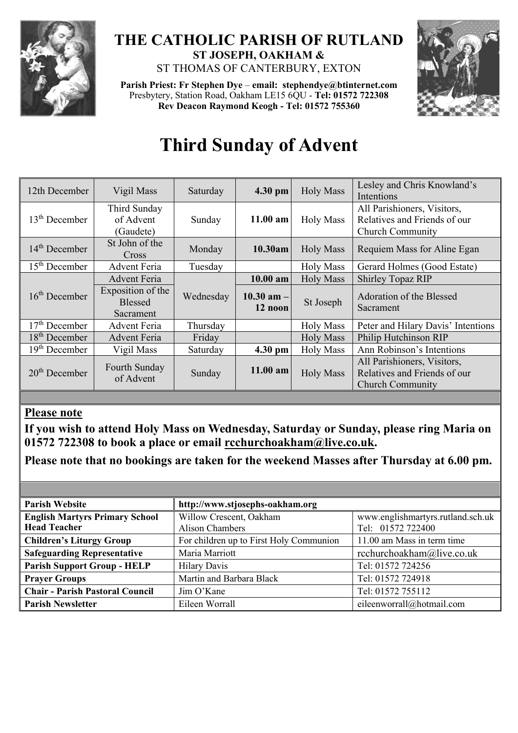

## **THE CATHOLIC PARISH OF RUTLAND ST JOSEPH, OAKHAM &**  ST THOMAS OF CANTERBURY, EXTON

**Parish Priest: Fr Stephen Dye** – **[email: stephendye@btinternet.com](mailto:email:%20%20stephendye@btinternet.com)** Presbytery, Station Road, Oakham LE15 6QU - **Tel: 01572 722308 Rev Deacon Raymond Keogh - Tel: 01572 755360**



# **Third Sunday of Advent**

| 12th December   | Vigil Mass                                       | Saturday  | $4.30$ pm                 | <b>Holy Mass</b> | Lesley and Chris Knowland's<br>Intentions                                              |  |
|-----------------|--------------------------------------------------|-----------|---------------------------|------------------|----------------------------------------------------------------------------------------|--|
| $13th$ December | Third Sunday<br>of Advent<br>(Gaudete)           | Sunday    | $11.00$ am                | <b>Holy Mass</b> | All Parishioners, Visitors,<br>Relatives and Friends of our<br><b>Church Community</b> |  |
| $14th$ December | St John of the<br><b>Cross</b>                   | Monday    | 10.30am                   | <b>Holy Mass</b> | Requiem Mass for Aline Egan                                                            |  |
| $15th$ December | <b>Advent Feria</b>                              | Tuesday   |                           | <b>Holy Mass</b> | Gerard Holmes (Good Estate)                                                            |  |
|                 | <b>Advent Feria</b>                              |           | $10.00$ am                | <b>Holy Mass</b> | <b>Shirley Topaz RIP</b>                                                               |  |
| $16th$ December | Exposition of the<br><b>Blessed</b><br>Sacrament | Wednesday | $10.30$ am $-$<br>12 noon | St Joseph        | Adoration of the Blessed<br>Sacrament                                                  |  |
| $17th$ December | <b>Advent Feria</b>                              | Thursday  |                           | <b>Holy Mass</b> | Peter and Hilary Davis' Intentions                                                     |  |
| $18th$ December | <b>Advent Feria</b>                              | Friday    |                           | <b>Holy Mass</b> | Philip Hutchinson RIP                                                                  |  |
| $19th$ December | Vigil Mass                                       | Saturday  | 4.30 pm                   | <b>Holy Mass</b> | Ann Robinson's Intentions                                                              |  |
| $20th$ December | Fourth Sunday<br>of Advent                       | Sunday    | $11.00$ am                | <b>Holy Mass</b> | All Parishioners, Visitors,<br>Relatives and Friends of our<br><b>Church Community</b> |  |

## **Please note**

**If you wish to attend Holy Mass on Wednesday, Saturday or Sunday, please ring Maria on 01572 722308 to book a place or email [rcchurchoakham@live.co.uk.](mailto:rcchurchoakham@live.co.uk)** 

**Please note that no bookings are taken for the weekend Masses after Thursday at 6.00 pm.**

| <b>Parish Website</b>                  | http://www.stjosephs-oakham.org         |                                   |  |  |
|----------------------------------------|-----------------------------------------|-----------------------------------|--|--|
| <b>English Martyrs Primary School</b>  | Willow Crescent, Oakham                 | www.englishmartyrs.rutland.sch.uk |  |  |
| <b>Head Teacher</b>                    | Alison Chambers                         | Tel: 01572 722400                 |  |  |
| <b>Children's Liturgy Group</b>        | For children up to First Holy Communion | 11.00 am Mass in term time        |  |  |
| <b>Safeguarding Representative</b>     | Maria Marriott                          | rcchurchoakham@live.co.uk         |  |  |
| <b>Parish Support Group - HELP</b>     | <b>Hilary Davis</b>                     | Tel: 01572 724256                 |  |  |
| <b>Prayer Groups</b>                   | Martin and Barbara Black                | Tel: 01572 724918                 |  |  |
| <b>Chair - Parish Pastoral Council</b> | Jim O'Kane                              | Tel: 01572 755112                 |  |  |
| <b>Parish Newsletter</b>               | Eileen Worrall                          | eileenworrall@hotmail.com         |  |  |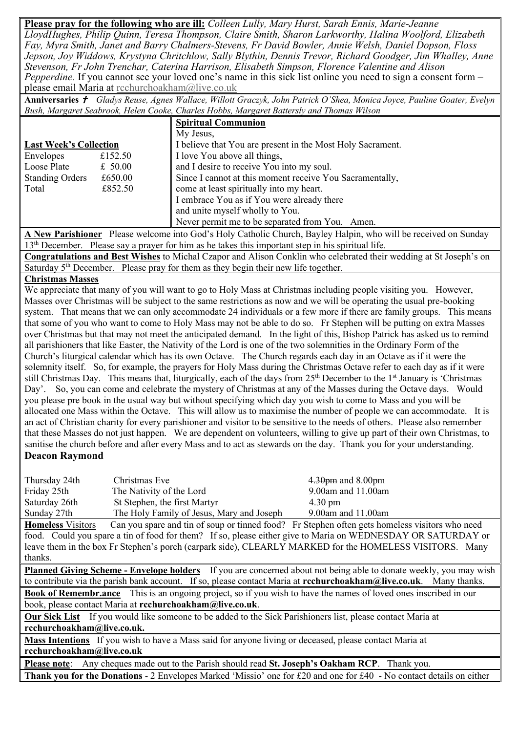**Please pray for the following who are ill:** *Colleen Lully, Mary Hurst, Sarah Ennis, Marie-Jeanne LloydHughes, Philip Quinn, Teresa Thompson, Claire Smith, Sharon Larkworthy, Halina Woolford, Elizabeth Fay, Myra Smith, Janet and Barry Chalmers-Stevens, Fr David Bowler, Annie Welsh, Daniel Dopson, Floss Jepson, Joy Widdows, Krystyna Chritchlow, Sally Blythin, Dennis Trevor, Richard Goodger, Jim Whalley, Anne Stevenson, Fr John Trenchar, Caterina Harrison, Elisabeth Simpson, Florence Valentine and Alison Pepperdine.* If you cannot see your loved one's name in this sick list online you need to sign a consent form – please email Maria at [rcchurchoakham@live.co.uk](mailto:rcchurchoakham@live.co.uk)

**Anniversaries**  *Gladys Reuse, Agnes Wallace, Willott Graczyk, John Patrick O'Shea, Monica Joyce, Pauline Goater, Evelyn Bush, Margaret Seabrook, Helen Cooke, Charles Hobbs, Margaret Battersly and Thomas Wilson*

|                               |           | <b>Spiritual Communion</b>                                 |  |  |
|-------------------------------|-----------|------------------------------------------------------------|--|--|
|                               |           | My Jesus,                                                  |  |  |
| <b>Last Week's Collection</b> |           | I believe that You are present in the Most Holy Sacrament. |  |  |
| Envelopes                     | £152.50   | I love You above all things,                               |  |  |
| Loose Plate                   | £ $50.00$ | and I desire to receive You into my soul.                  |  |  |
| <b>Standing Orders</b>        | £650.00   | Since I cannot at this moment receive You Sacramentally,   |  |  |
| Total                         | £852.50   | come at least spiritually into my heart.                   |  |  |
|                               |           | I embrace You as if You were already there                 |  |  |
|                               |           | and unite myself wholly to You.                            |  |  |
|                               |           | Never permit me to be separated from You. Amen.            |  |  |

**A New Parishioner** Please welcome into God's Holy Catholic Church, Bayley Halpin, who will be received on Sunday 13<sup>th</sup> December. Please say a prayer for him as he takes this important step in his spiritual life.

**Congratulations and Best Wishes** to Michal Czapor and Alison Conklin who celebrated their wedding at St Joseph's on Saturday  $5<sup>th</sup>$  December. Please pray for them as they begin their new life together.

#### **Christmas Masses**

We appreciate that many of you will want to go to Holy Mass at Christmas including people visiting you. However, Masses over Christmas will be subject to the same restrictions as now and we will be operating the usual pre-booking system. That means that we can only accommodate 24 individuals or a few more if there are family groups. This means that some of you who want to come to Holy Mass may not be able to do so. Fr Stephen will be putting on extra Masses over Christmas but that may not meet the anticipated demand. In the light of this, Bishop Patrick has asked us to remind all parishioners that like Easter, the Nativity of the Lord is one of the two solemnities in the Ordinary Form of the Church's liturgical calendar which has its own Octave. The Church regards each day in an Octave as if it were the solemnity itself. So, for example, the prayers for Holy Mass during the Christmas Octave refer to each day as if it were still Christmas Day. This means that, liturgically, each of the days from 25<sup>th</sup> December to the 1<sup>st</sup> January is 'Christmas Day'. So, you can come and celebrate the mystery of Christmas at any of the Masses during the Octave days. Would you please pre book in the usual way but without specifying which day you wish to come to Mass and you will be allocated one Mass within the Octave. This will allow us to maximise the number of people we can accommodate. It is an act of Christian charity for every parishioner and visitor to be sensitive to the needs of others. Please also remember that these Masses do not just happen. We are dependent on volunteers, willing to give up part of their own Christmas, to sanitise the church before and after every Mass and to act as stewards on the day. Thank you for your understanding.

#### **Deacon Raymond**

| Thursday 24th | Christmas Eve                             | $4.30$ pm and $8.00$ pm  |
|---------------|-------------------------------------------|--------------------------|
| Friday 25th   | The Nativity of the Lord                  | 9.00am and 11.00am       |
| Saturday 26th | St Stephen, the first Martyr              | $4.30 \text{ pm}$        |
| Sunday 27th   | The Holy Family of Jesus, Mary and Joseph | $9.00$ am and $11.00$ am |

**Homeless** Visitors Can you spare and tin of soup or tinned food? Fr Stephen often gets homeless visitors who need food. Could you spare a tin of food for them? If so, please either give to Maria on WEDNESDAY OR SATURDAY or leave them in the box Fr Stephen's porch (carpark side), CLEARLY MARKED for the HOMELESS VISITORS. Many thanks.

**Planned Giving Scheme - Envelope holders** If you are concerned about not being able to donate weekly, you may wish to contribute via the parish bank account. If so, please contact Maria at **[rcchurchoakham@live.co.uk](mailto:rcchurchoakham@live.co.uk)**. Many thanks.

**Book of Remembr.ance** This is an ongoing project, so if you wish to have the names of loved ones inscribed in our book, please contact Maria at **[rcchurchoakham@live.co.uk](mailto:rcchurchoakham@live.co.uk)**.

**Our Sick List** If you would like someone to be added to the Sick Parishioners list, please contact Maria at **[rcchurchoakham@live.co.uk.](mailto:rcchurchoakham@live.co.uk)**

**Mass Intentions** If you wish to have a Mass said for anyone living or deceased, please contact Maria at **[rcchurchoakham@live.co.uk](mailto:rcchurchoakham@live.co.uk)**

**Please note**: Any cheques made out to the Parish should read **St. Joseph's Oakham RCP**. Thank you. **Thank you for the Donations** - 2 Envelopes Marked 'Missio' one for £20 and one for £40 - No contact details on either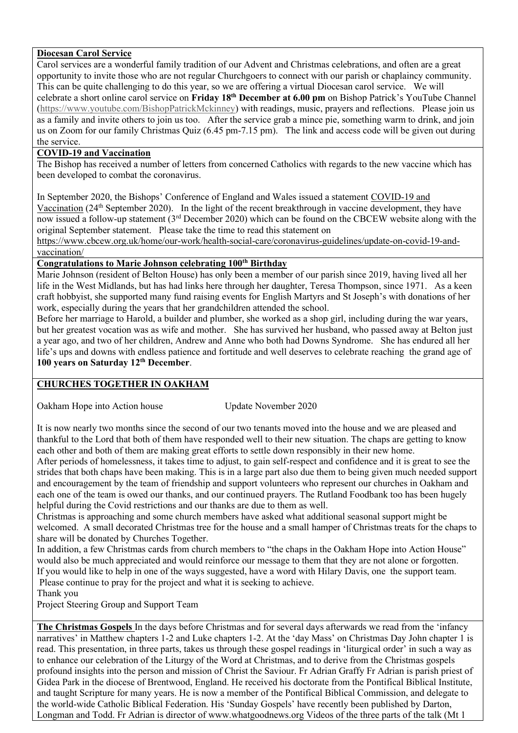#### **Diocesan Carol Service**

Carol services are a wonderful family tradition of our Advent and Christmas celebrations, and often are a great opportunity to invite those who are not regular Churchgoers to connect with our parish or chaplaincy community. This can be quite challenging to do this year, so we are offering a virtual Diocesan carol service. We will celebrate a short online carol service on **Friday 18th December at 6.00 pm** on Bishop Patrick's YouTube Channel [\(https://www.youtube.com/BishopPatrickMckinney\)](https://www.youtube.com/BishopPatrickMckinney) with readings, music, prayers and reflections. Please join us as a family and invite others to join us too. After the service grab a mince pie, something warm to drink, and join us on Zoom for our family Christmas Quiz (6.45 pm-7.15 pm). The link and access code will be given out during the service.

#### **COVID-19 and Vaccination**

The Bishop has received a number of letters from concerned Catholics with regards to the new vaccine which has been developed to combat the coronavirus.

In September 2020, the Bishops' Conference of England and Wales issued a statement [COVID-19 and](https://www.cbcew.org.uk/home/our-work/health-social-care/coronavirus-guidelines/covid-19-and-vaccination/)  [Vaccination](https://www.cbcew.org.uk/home/our-work/health-social-care/coronavirus-guidelines/covid-19-and-vaccination/) (24<sup>th</sup> September 2020). In the light of the recent breakthrough in vaccine development, they have now issued a follow-up statement (3<sup>rd</sup> December 2020) which can be found on the CBCEW website along with the original September statement. Please take the time to read this statement on

[https://www.cbcew.org.uk/home/our-work/health-social-care/coronavirus-guidelines/update-on-covid-19-and](https://www.cbcew.org.uk/home/our-work/health-social-care/coronavirus-guidelines/update-on-covid-19-and-vaccination/)[vaccination/](https://www.cbcew.org.uk/home/our-work/health-social-care/coronavirus-guidelines/update-on-covid-19-and-vaccination/)

### **Congratulations to Marie Johnson celebrating 100th Birthday**

Marie Johnson (resident of Belton House) has only been a member of our parish since 2019, having lived all her life in the West Midlands, but has had links here through her daughter, Teresa Thompson, since 1971. As a keen craft hobbyist, she supported many fund raising events for English Martyrs and St Joseph's with donations of her work, especially during the years that her grandchildren attended the school.

Before her marriage to Harold, a builder and plumber, she worked as a shop girl, including during the war years, but her greatest vocation was as wife and mother. She has survived her husband, who passed away at Belton just a year ago, and two of her children, Andrew and Anne who both had Downs Syndrome. She has endured all her life's ups and downs with endless patience and fortitude and well deserves to celebrate reaching the grand age of **100 years on Saturday 12 th December**.

#### **CHURCHES TOGETHER IN OAKHAM**

Oakham Hope into Action house Update November 2020

It is now nearly two months since the second of our two tenants moved into the house and we are pleased and thankful to the Lord that both of them have responded well to their new situation. The chaps are getting to know each other and both of them are making great efforts to settle down responsibly in their new home.

After periods of homelessness, it takes time to adjust, to gain self-respect and confidence and it is great to see the strides that both chaps have been making. This is in a large part also due them to being given much needed support and encouragement by the team of friendship and support volunteers who represent our churches in Oakham and each one of the team is owed our thanks, and our continued prayers. The Rutland Foodbank too has been hugely helpful during the Covid restrictions and our thanks are due to them as well.

Christmas is approaching and some church members have asked what additional seasonal support might be welcomed. A small decorated Christmas tree for the house and a small hamper of Christmas treats for the chaps to share will be donated by Churches Together.

In addition, a few Christmas cards from church members to "the chaps in the Oakham Hope into Action House" would also be much appreciated and would reinforce our message to them that they are not alone or forgotten. If you would like to help in one of the ways suggested, have a word with Hilary Davis, one the support team. Please continue to pray for the project and what it is seeking to achieve.

Thank you

Project Steering Group and Support Team

**The Christmas Gospels** In the days before Christmas and for several days afterwards we read from the 'infancy narratives' in Matthew chapters 1-2 and Luke chapters 1-2. At the 'day Mass' on Christmas Day John chapter 1 is read. This presentation, in three parts, takes us through these gospel readings in 'liturgical order' in such a way as to enhance our celebration of the Liturgy of the Word at Christmas, and to derive from the Christmas gospels profound insights into the person and mission of Christ the Saviour. Fr Adrian Graffy Fr Adrian is parish priest of Gidea Park in the diocese of Brentwood, England. He received his doctorate from the Pontifical Biblical Institute, and taught Scripture for many years. He is now a member of the Pontifical Biblical Commission, and delegate to the world-wide Catholic Biblical Federation. His 'Sunday Gospels' have recently been published by Darton, Longman and Todd. Fr Adrian is director of www.whatgoodnews.org Videos of the three parts of the talk (Mt 1